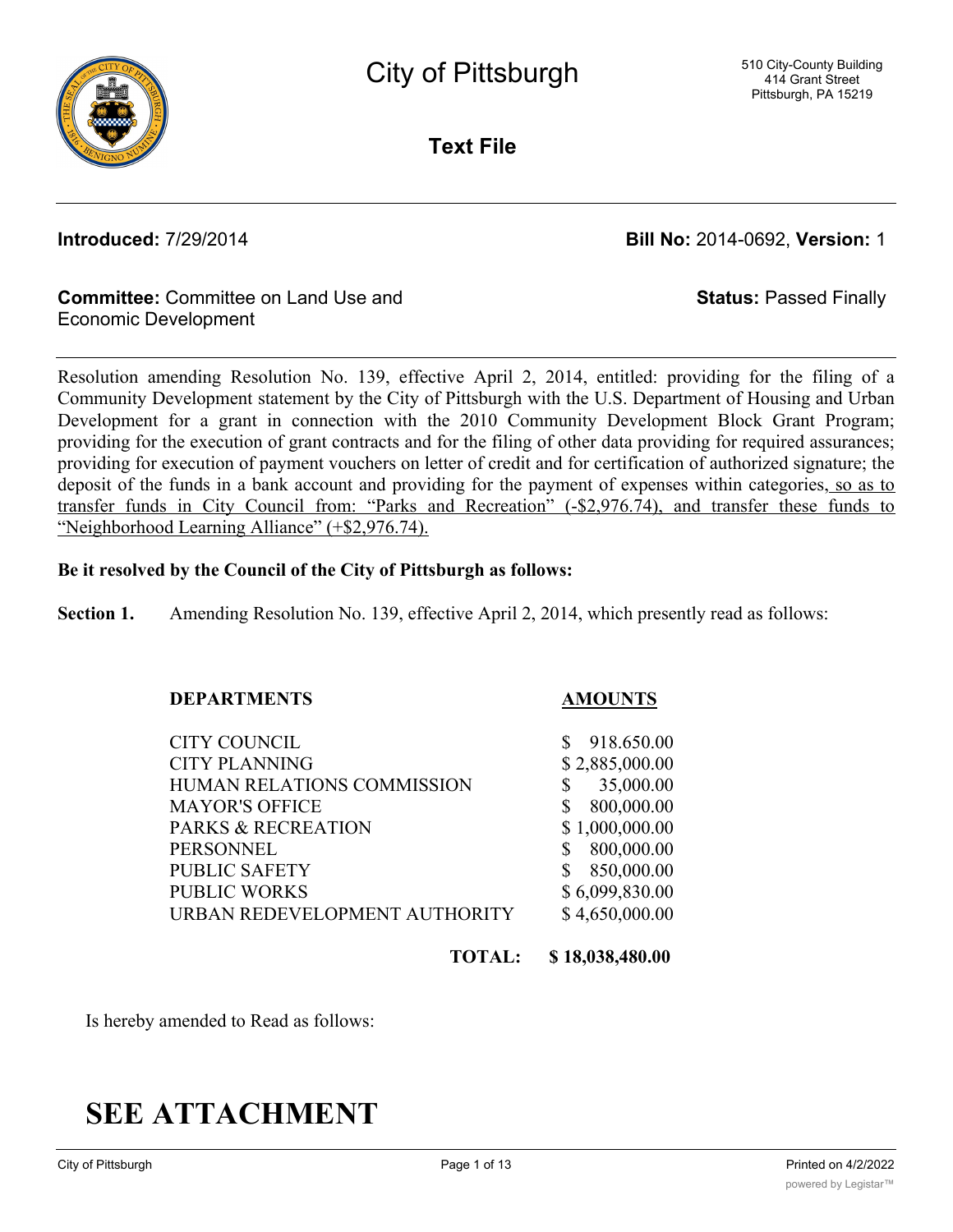**Text File**

**Introduced:** 7/29/2014 **Bill No:** 2014-0692, **Version:** 1

**Status:** Passed Finally

#### **Committee:** Committee on Land Use and Economic Development

Resolution amending Resolution No. 139, effective April 2, 2014, entitled: providing for the filing of a Community Development statement by the City of Pittsburgh with the U.S. Department of Housing and Urban Development for a grant in connection with the 2010 Community Development Block Grant Program; providing for the execution of grant contracts and for the filing of other data providing for required assurances; providing for execution of payment vouchers on letter of credit and for certification of authorized signature; the deposit of the funds in a bank account and providing for the payment of expenses within categories, so as to transfer funds in City Council from: "Parks and Recreation" (-\$2,976.74), and transfer these funds to "Neighborhood Learning Alliance" (+\$2,976.74).

#### **Be it resolved by the Council of the City of Pittsburgh as follows:**

**Section 1.** Amending Resolution No. 139, effective April 2, 2014, which presently read as follows:

#### **DEPARTMENTS AMOUNTS**

CITY COUNCIL \$ 918.650.00 CITY PLANNING \$ 2,885,000.00 HUMAN RELATIONS COMMISSION \$ 35,000.00 MAYOR'S OFFICE \$ 800,000.00 PARKS & RECREATION \$1,000,000.00 PERSONNEL \$ 800,000.00 PUBLIC SAFETY \$ 850,000.00 PUBLIC WORKS \$6,099,830.00 URBAN REDEVELOPMENT AUTHORITY \$4,650,000.00

**TOTAL: \$ 18,038,480.00**

Is hereby amended to Read as follows:

# **SEE ATTACHMENT**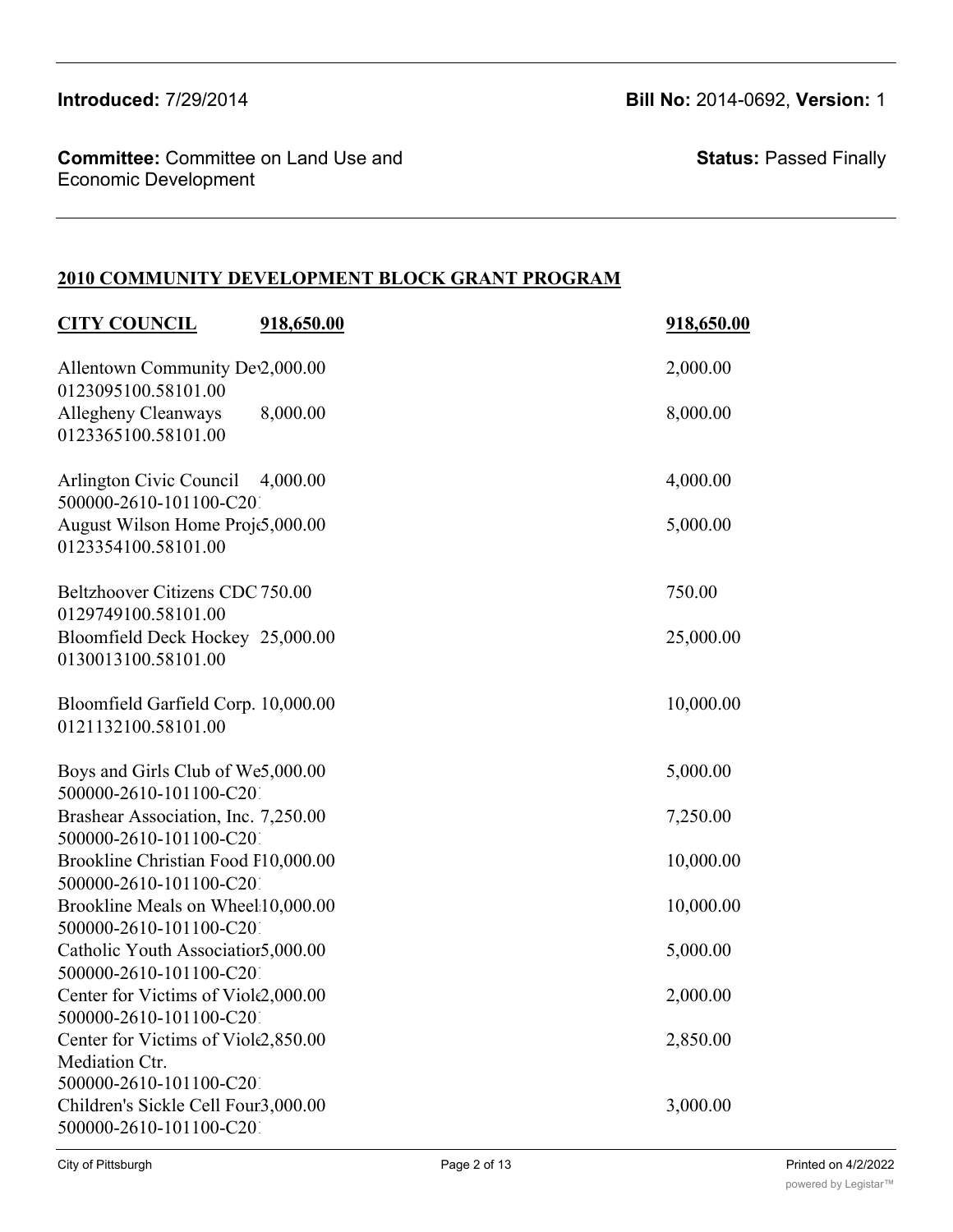**Committee:** Committee on Land Use and Economic Development

**Status:** Passed Finally

### **2010 COMMUNITY DEVELOPMENT BLOCK GRANT PROGRAM**

| <b>CITY COUNCIL</b>                                                              | 918,650.00 | 918,650.00 |
|----------------------------------------------------------------------------------|------------|------------|
| Allentown Community Dev2,000.00<br>0123095100.58101.00                           |            | 2,000.00   |
| Allegheny Cleanways<br>0123365100.58101.00                                       | 8,000.00   | 8,000.00   |
| Arlington Civic Council 4,000.00<br>500000-2610-101100-C201                      |            | 4,000.00   |
| August Wilson Home Proje5,000.00<br>0123354100.58101.00                          |            | 5,000.00   |
| Beltzhoover Citizens CDC 750.00<br>0129749100.58101.00                           |            | 750.00     |
| Bloomfield Deck Hockey 25,000.00<br>0130013100.58101.00                          |            | 25,000.00  |
| Bloomfield Garfield Corp. 10,000.00<br>0121132100.58101.00                       |            | 10,000.00  |
| Boys and Girls Club of We5,000.00<br>500000-2610-101100-C201                     |            | 5,000.00   |
| Brashear Association, Inc. 7,250.00                                              |            | 7,250.00   |
| 500000-2610-101100-C201<br>Brookline Christian Food P10,000.00                   |            | 10,000.00  |
| 500000-2610-101100-C201<br>Brookline Meals on Wheel 10,000.00                    |            | 10,000.00  |
| 500000-2610-101100-C201<br>Catholic Youth Associatior5,000.00                    |            | 5,000.00   |
| 500000-2610-101100-C201<br>Center for Victims of Viole2,000.00                   |            | 2,000.00   |
| 500000-2610-101100-C201<br>Center for Victims of Viole2,850.00<br>Mediation Ctr. |            | 2,850.00   |
| 500000-2610-101100-C201<br>Children's Sickle Cell Foun3,000.00                   |            | 3,000.00   |
| 500000-2610-101100-C201                                                          |            |            |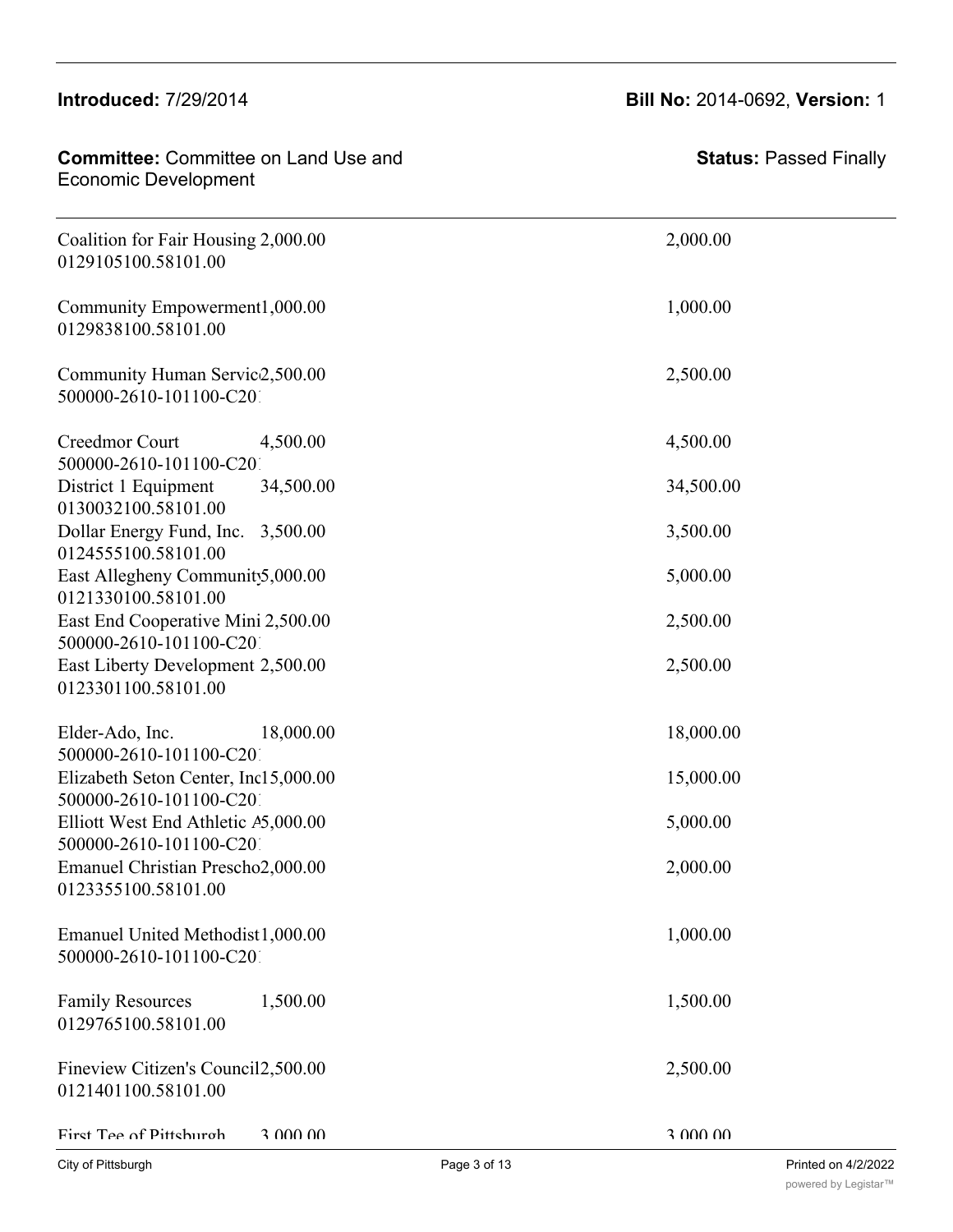#### Center for Victims of Violence & Crime 2,000.00 2,000.00 500000-2610-101100-C2010-G228990-2010

#### **Committee:** Committee on Land Use and Economic Development Committee: 5000000000-20000000-20110-20110-2020<br>Francisco Development

 $\sim$  5000  $\sim$  5000  $\sim$  5000  $\sim$  5000  $\sim$  5000  $\sim$  5000  $\sim$  5000  $\sim$  5000  $\sim$ 

| Economic Development                                            |           |
|-----------------------------------------------------------------|-----------|
| Coalition for Fair Housing 2,000.00<br>0129105100.58101.00      | 2,000.00  |
| Community Empowerment1,000.00<br>0129838100.58101.00            | 1,000.00  |
| Community Human Servic2,500.00<br>500000-2610-101100-C201       | 2,500.00  |
| Creedmor Court<br>4,500.00<br>500000-2610-101100-C201           | 4,500.00  |
| District 1 Equipment<br>34,500.00<br>0130032100.58101.00        | 34,500.00 |
| Dollar Energy Fund, Inc.<br>3,500.00<br>0124555100.58101.00     | 3,500.00  |
| East Allegheny Community,000.00<br>0121330100.58101.00          | 5,000.00  |
| East End Cooperative Mini 2,500.00<br>500000-2610-101100-C201   | 2,500.00  |
| East Liberty Development 2,500.00<br>0123301100.58101.00        | 2,500.00  |
| Elder-Ado, Inc.<br>18,000.00<br>500000-2610-101100-C201         | 18,000.00 |
| Elizabeth Seton Center, Inc15,000.00<br>500000-2610-101100-C201 | 15,000.00 |
| Elliott West End Athletic A5,000.00<br>500000-2610-101100-C201  | 5,000.00  |
| <b>Emanuel Christian Prescho2,000.00</b><br>0123355100.58101.00 | 2,000.00  |
| Emanuel United Methodist1,000.00<br>500000-2610-101100-C201     | 1,000.00  |
| 1,500.00<br><b>Family Resources</b><br>0129765100.58101.00      | 1,500.00  |
| Fineview Citizen's Council2,500.00<br>0121401100.58101.00       | 2,500.00  |
| First Tee of Pittshurgh<br>3 000 00                             | 3.000.00  |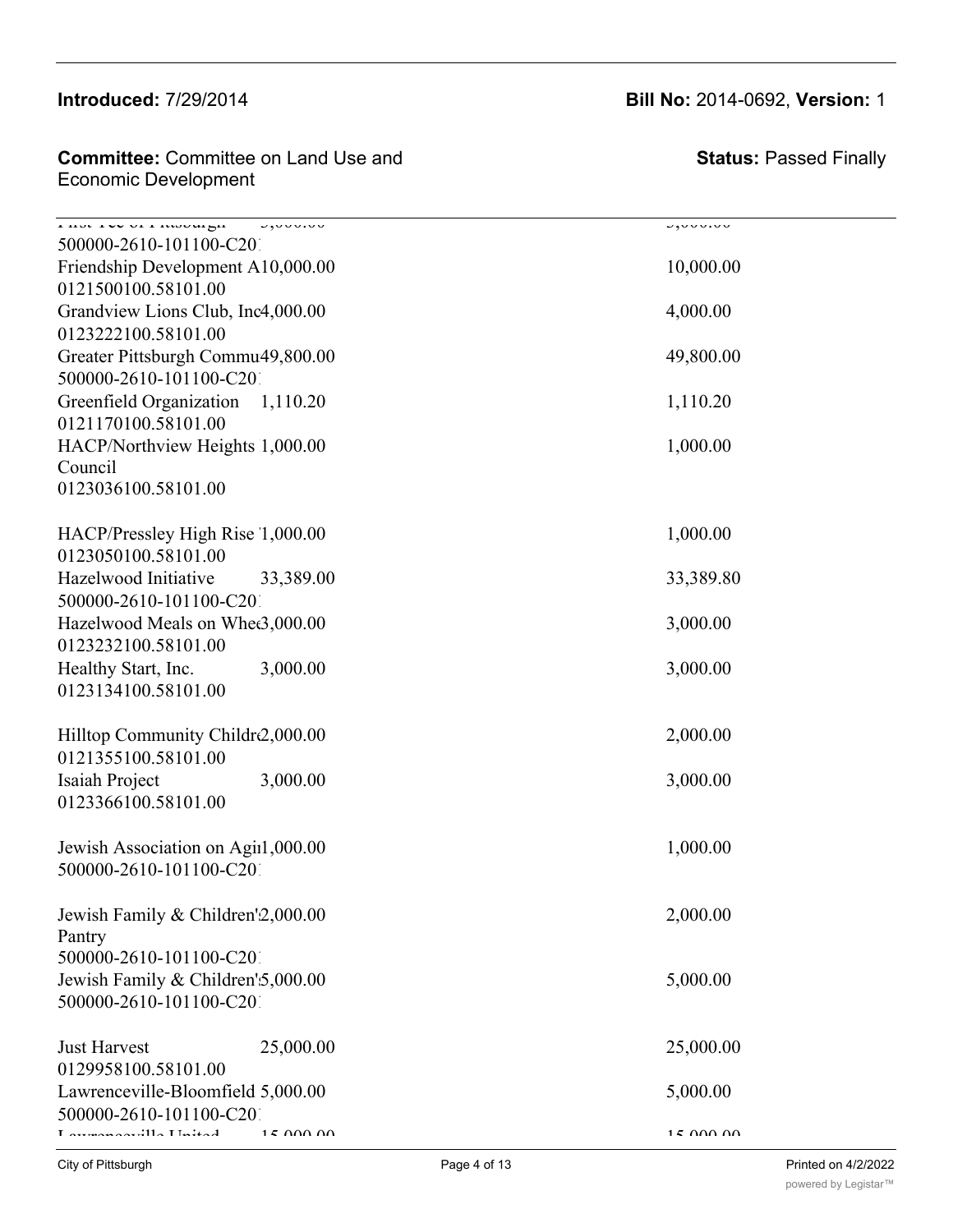#### $\frac{1}{2}$  $\frac{1}{2}$

#### **Committee:** Committee on Land Use and **Fineries Council** Council **Economic Development**

| $\frac{1}{1}$ Hot TVV VI I Roburgh<br>J, V, V, V, V<br>500000-2610-101100-C201 | <b>JAUULUU</b>  |
|--------------------------------------------------------------------------------|-----------------|
| Friendship Development A10,000.00                                              | 10,000.00       |
| 0121500100.58101.00                                                            |                 |
| Grandview Lions Club, Inc4,000.00                                              | 4,000.00        |
| 0123222100.58101.00                                                            |                 |
| Greater Pittsburgh Commu49,800.00                                              | 49,800.00       |
| 500000-2610-101100-C201                                                        |                 |
| Greenfield Organization 1,110.20<br>0121170100.58101.00                        | 1,110.20        |
| HACP/Northview Heights 1,000.00                                                | 1,000.00        |
| Council                                                                        |                 |
| 0123036100.58101.00                                                            |                 |
| HACP/Pressley High Rise 1,000.00                                               | 1,000.00        |
| 0123050100.58101.00                                                            |                 |
| Hazelwood Initiative<br>33,389.00                                              | 33,389.80       |
| 500000-2610-101100-C201                                                        |                 |
| Hazelwood Meals on Whee3,000.00                                                | 3,000.00        |
| 0123232100.58101.00                                                            |                 |
| Healthy Start, Inc.<br>3,000.00                                                | 3,000.00        |
| 0123134100.58101.00                                                            |                 |
| Hilltop Community Childre,000.00                                               | 2,000.00        |
| 0121355100.58101.00                                                            |                 |
| Isaiah Project<br>3,000.00                                                     | 3,000.00        |
| 0123366100.58101.00                                                            |                 |
| Jewish Association on Agii1,000.00                                             | 1,000.00        |
| 500000-2610-101100-C201                                                        |                 |
| Jewish Family & Children'2,000.00                                              | 2,000.00        |
| Pantry                                                                         |                 |
| 500000-2610-101100-C201                                                        |                 |
| Jewish Family & Children' 5,000.00                                             | 5,000.00        |
| 500000-2610-101100-C201                                                        |                 |
| 25,000.00<br><b>Just Harvest</b>                                               | 25,000.00       |
| 0129958100.58101.00                                                            |                 |
| Lawrenceville-Bloomfield 5,000.00                                              | 5,000.00        |
| 500000-2610-101100-C201<br>1. Arragan Agrilla Llaiteal<br>$15$ $000$ $00$      | $15$ $000$ $00$ |
|                                                                                |                 |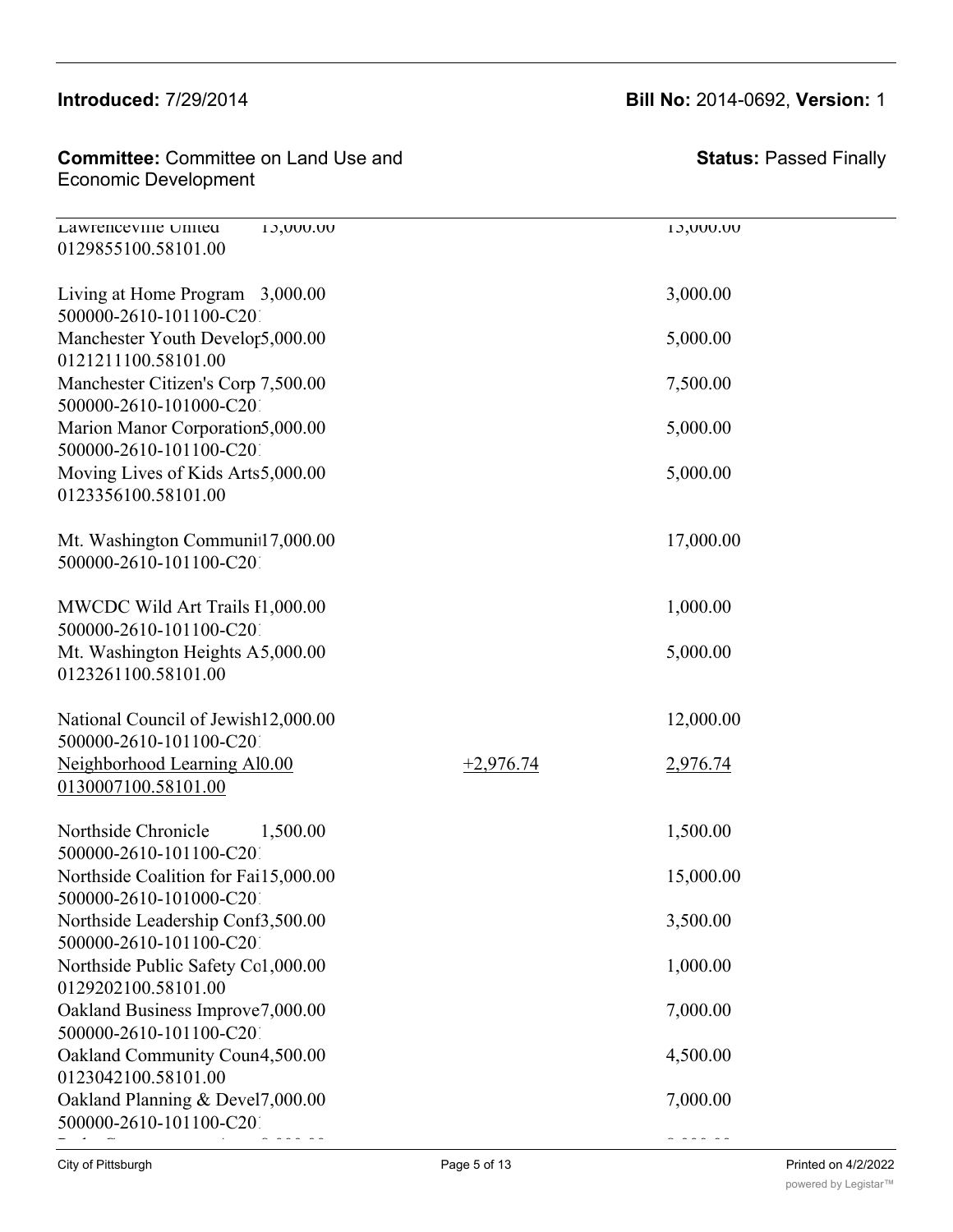0129855100.58101.00

#### Committee: Committee on Land Use and  $\blacksquare$ Economic Development

| Living at Home Program 3,000.00<br>500000-2610-101100-C201      |             | 3,000.00  |
|-----------------------------------------------------------------|-------------|-----------|
| Manchester Youth Develor5,000.00<br>0121211100.58101.00         |             | 5,000.00  |
| Manchester Citizen's Corp 7,500.00<br>500000-2610-101000-C201   |             | 7,500.00  |
| Marion Manor Corporation5,000.00<br>500000-2610-101100-C201     |             | 5,000.00  |
| Moving Lives of Kids Arts5,000.00<br>0123356100.58101.00        |             | 5,000.00  |
| Mt. Washington Communit17,000.00<br>500000-2610-101100-C201     |             | 17,000.00 |
| MWCDC Wild Art Trails I1,000.00<br>500000-2610-101100-C201      |             | 1,000.00  |
| Mt. Washington Heights A5,000.00<br>0123261100.58101.00         |             | 5,000.00  |
| National Council of Jewish12,000.00<br>500000-2610-101100-C201  |             | 12,000.00 |
| Neighborhood Learning Al0.00<br>0130007100.58101.00             | $+2,976.74$ | 2,976.74  |
| Northside Chronicle<br>1,500.00<br>500000-2610-101100-C201      |             | 1,500.00  |
| Northside Coalition for Fai15,000.00<br>500000-2610-101000-C201 |             | 15,000.00 |
| Northside Leadership Conf3,500.00<br>500000-2610-101100-C201    |             | 3,500.00  |
| Northside Public Safety Col,000.00<br>0129202100.58101.00       |             | 1,000.00  |
| Oakland Business Improve7,000.00<br>500000-2610-101100-C201     |             | 7,000.00  |
| Oakland Community Coun4,500.00<br>0123042100.58101.00           |             | 4,500.00  |
| Oakland Planning & Devel7,000.00<br>500000-2610-101100-C201     |             | 7,000.00  |
|                                                                 |             |           |

Jewish Family & Children's Services (Caregivers) 5,000.00 5,000.00

Lawrenceville United 15,000.00

### **Introduced:** 7/29/2014 **Bill No:** 2014-0692, **Version:** 1

**Status:** Passed Finally

Page 5 of 13 Printed on 4/2/2022 [powered by Legistar™](http://www.legistar.com/)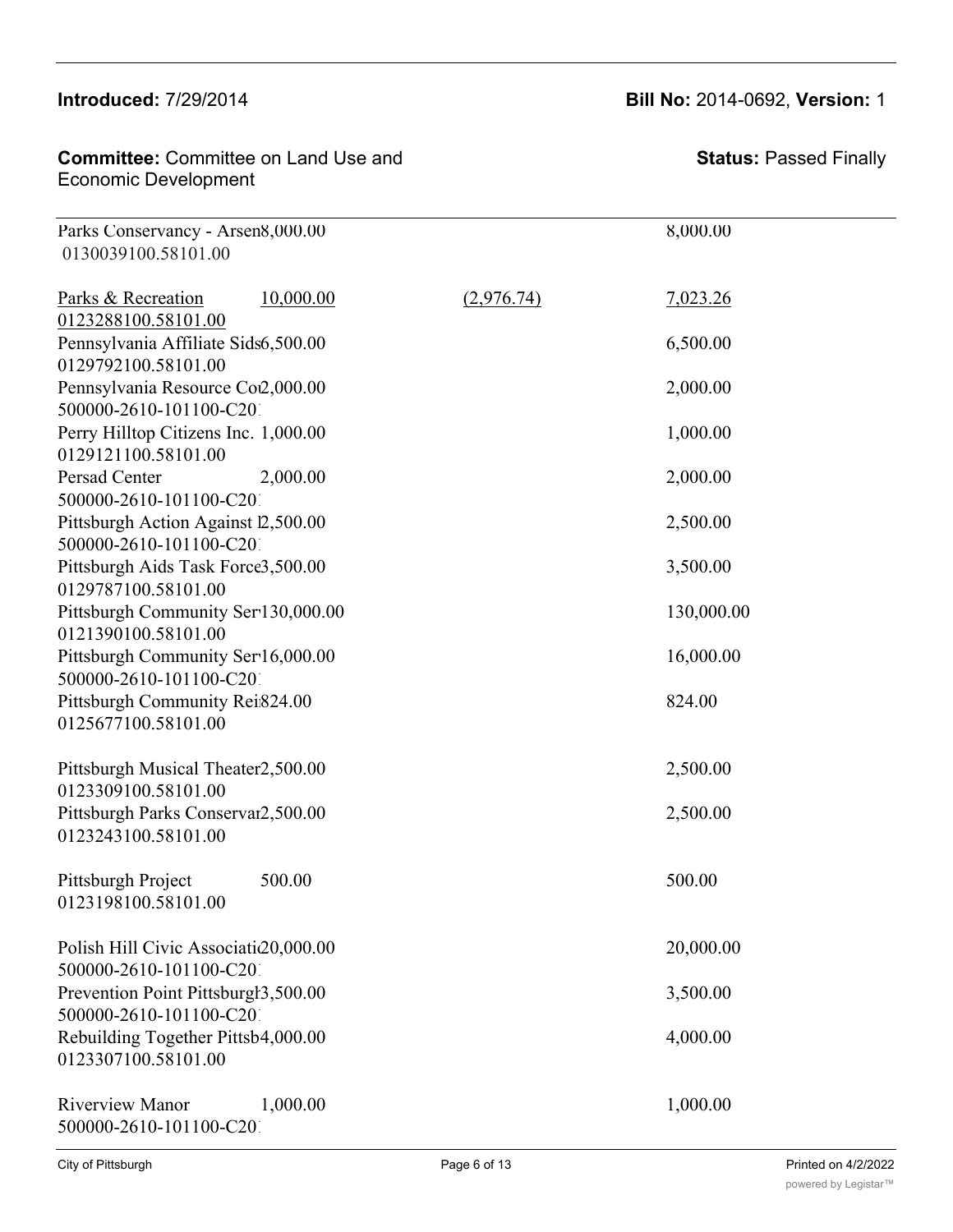### **Introduced:** 7/29/2014 **Bill No:** 2014-0692, **Version:** 1

| <b>Committee:</b> Committee on Land Use and | <b>Stat</b> |
|---------------------------------------------|-------------|
| Economic Development                        |             |

| Parks Conservancy - Arsen8,000.00<br>0130039100.58101.00        |            | 8,000.00   |  |
|-----------------------------------------------------------------|------------|------------|--|
| 10,000.00<br>Parks & Recreation<br>0123288100.58101.00          | (2,976.74) | 7,023.26   |  |
| Pennsylvania Affiliate Sids6,500.00<br>0129792100.58101.00      |            | 6,500.00   |  |
| Pennsylvania Resource Co2,000.00<br>500000-2610-101100-C201     |            | 2,000.00   |  |
| Perry Hilltop Citizens Inc. 1,000.00<br>0129121100.58101.00     |            | 1,000.00   |  |
| Persad Center<br>2,000.00<br>500000-2610-101100-C201            |            | 2,000.00   |  |
| Pittsburgh Action Against 2,500.00<br>500000-2610-101100-C201   |            | 2,500.00   |  |
| Pittsburgh Aids Task Force3,500.00<br>0129787100.58101.00       |            | 3,500.00   |  |
| Pittsburgh Community Ser 130,000.00<br>0121390100.58101.00      |            | 130,000.00 |  |
| Pittsburgh Community Ser16,000.00<br>500000-2610-101100-C201    |            | 16,000.00  |  |
| Pittsburgh Community Rei824.00<br>0125677100.58101.00           |            | 824.00     |  |
| Pittsburgh Musical Theater2,500.00<br>0123309100.58101.00       |            | 2,500.00   |  |
| Pittsburgh Parks Conservar2,500.00<br>0123243100.58101.00       |            | 2,500.00   |  |
| 500.00<br>Pittsburgh Project<br>0123198100.58101.00             |            | 500.00     |  |
| Polish Hill Civic Associati20,000.00<br>500000-2610-101100-C201 |            | 20,000.00  |  |
| Prevention Point Pittsburgh3,500.00<br>500000-2610-101100-C201  |            | 3,500.00   |  |
| Rebuilding Together Pittsb4,000.00<br>0123307100.58101.00       |            | 4,000.00   |  |
| <b>Riverview Manor</b><br>1,000.00<br>500000-2610-101100-C201   |            | 1,000.00   |  |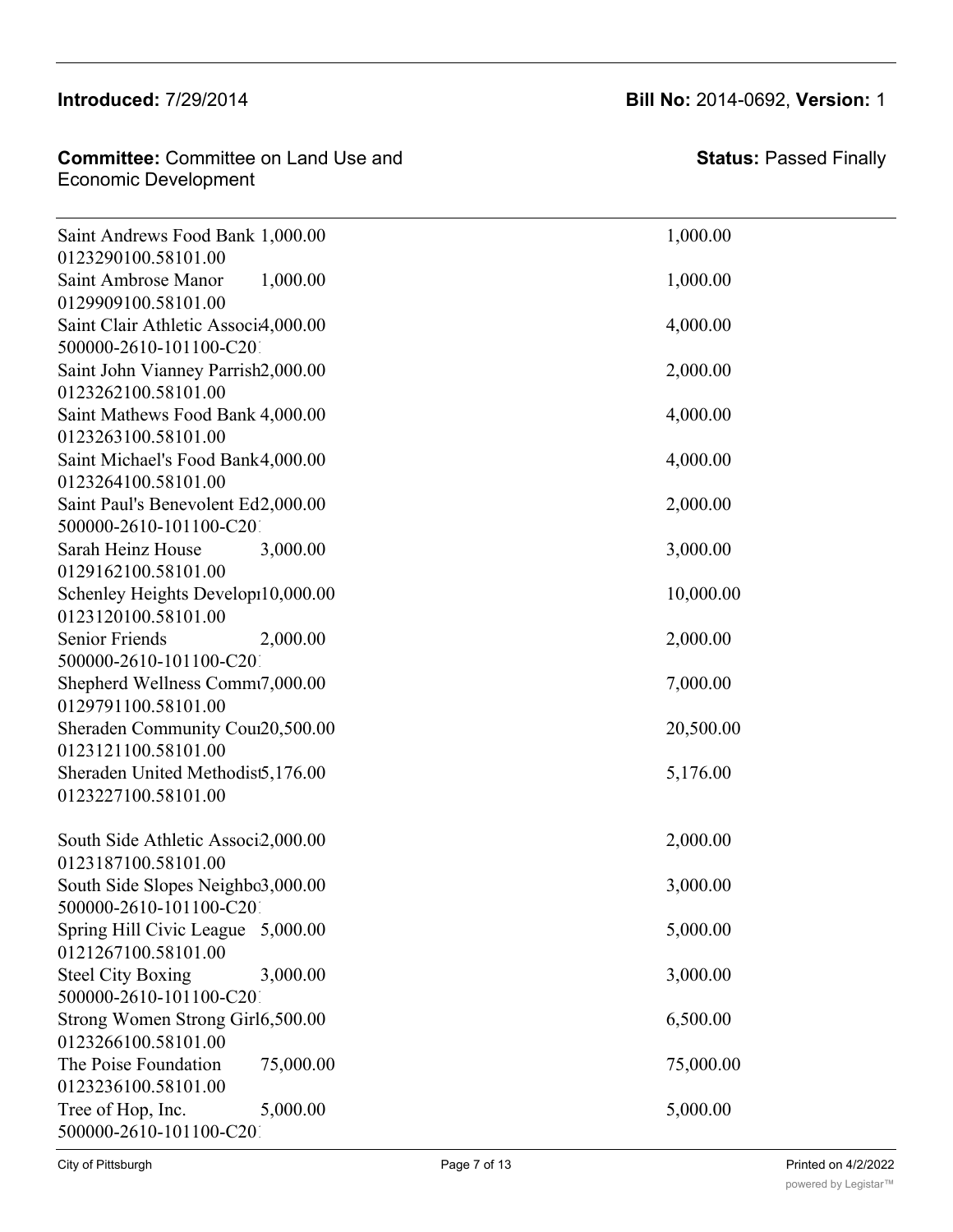#### **Committee: Committee on Land Use and** Economic Development Representative Manual Manual Manual Manual Manual Manual Manual Manual Manual Manual Manual Manual Manual Manua<br>Representative Manual Manual Manual Manual Manual Manual Manual Manual Manual Manual Manual Manual Manual Manu

500000-2610-101100-C2010-G225010-2010

| Saint Andrews Food Bank 1,000.00<br>0123290100.58101.00        | 1,000.00  |
|----------------------------------------------------------------|-----------|
| Saint Ambrose Manor<br>1,000.00                                | 1,000.00  |
| 0129909100.58101.00                                            |           |
| Saint Clair Athletic Associ4,000.00<br>500000-2610-101100-C201 | 4,000.00  |
| Saint John Vianney Parrish2,000.00                             | 2,000.00  |
| 0123262100.58101.00                                            |           |
| Saint Mathews Food Bank 4,000.00                               | 4,000.00  |
| 0123263100.58101.00                                            |           |
| Saint Michael's Food Bank4,000.00                              | 4,000.00  |
| 0123264100.58101.00                                            |           |
| Saint Paul's Benevolent Ed2,000.00                             | 2,000.00  |
| 500000-2610-101100-C201                                        |           |
| Sarah Heinz House<br>3,000.00                                  | 3,000.00  |
| 0129162100.58101.00                                            |           |
| Schenley Heights Develop10,000.00                              | 10,000.00 |
| 0123120100.58101.00                                            |           |
| <b>Senior Friends</b><br>2,000.00                              | 2,000.00  |
| 500000-2610-101100-C201                                        |           |
| Shepherd Wellness Commt7,000.00                                | 7,000.00  |
| 0129791100.58101.00                                            |           |
| Sheraden Community Cour20,500.00                               | 20,500.00 |
| 0123121100.58101.00                                            |           |
| Sheraden United Methodist5,176.00                              | 5,176.00  |
| 0123227100.58101.00                                            |           |
|                                                                |           |

| City of Pittsburgh                                           |           | Page 7 of 13 |           | Printed on 4/2/2022<br>powered by Legistar™ |
|--------------------------------------------------------------|-----------|--------------|-----------|---------------------------------------------|
| 500000-2610-101100-C201                                      |           |              |           |                                             |
| Tree of Hop, Inc.                                            | 5,000.00  |              | 5,000.00  |                                             |
| 0123236100.58101.00                                          |           |              |           |                                             |
| The Poise Foundation                                         | 75,000.00 |              | 75,000.00 |                                             |
| 0123266100.58101.00                                          |           |              |           |                                             |
| Strong Women Strong Girl6,500.00                             |           |              | 6,500.00  |                                             |
| 500000-2610-101100-C201                                      |           |              |           |                                             |
| Steel City Boxing                                            | 3,000.00  |              | 3,000.00  |                                             |
| 0121267100.58101.00                                          |           |              |           |                                             |
| Spring Hill Civic League 5,000.00                            |           |              | 5,000.00  |                                             |
| South Side Slopes Neighbo3,000.00<br>500000-2610-101100-C201 |           |              | 3,000.00  |                                             |
| 0123187100.58101.00                                          |           |              |           |                                             |
| South Side Athletic Associ2,000.00                           |           |              | 2,000.00  |                                             |
|                                                              |           |              |           |                                             |
| 0123227100.58101.00                                          |           |              |           |                                             |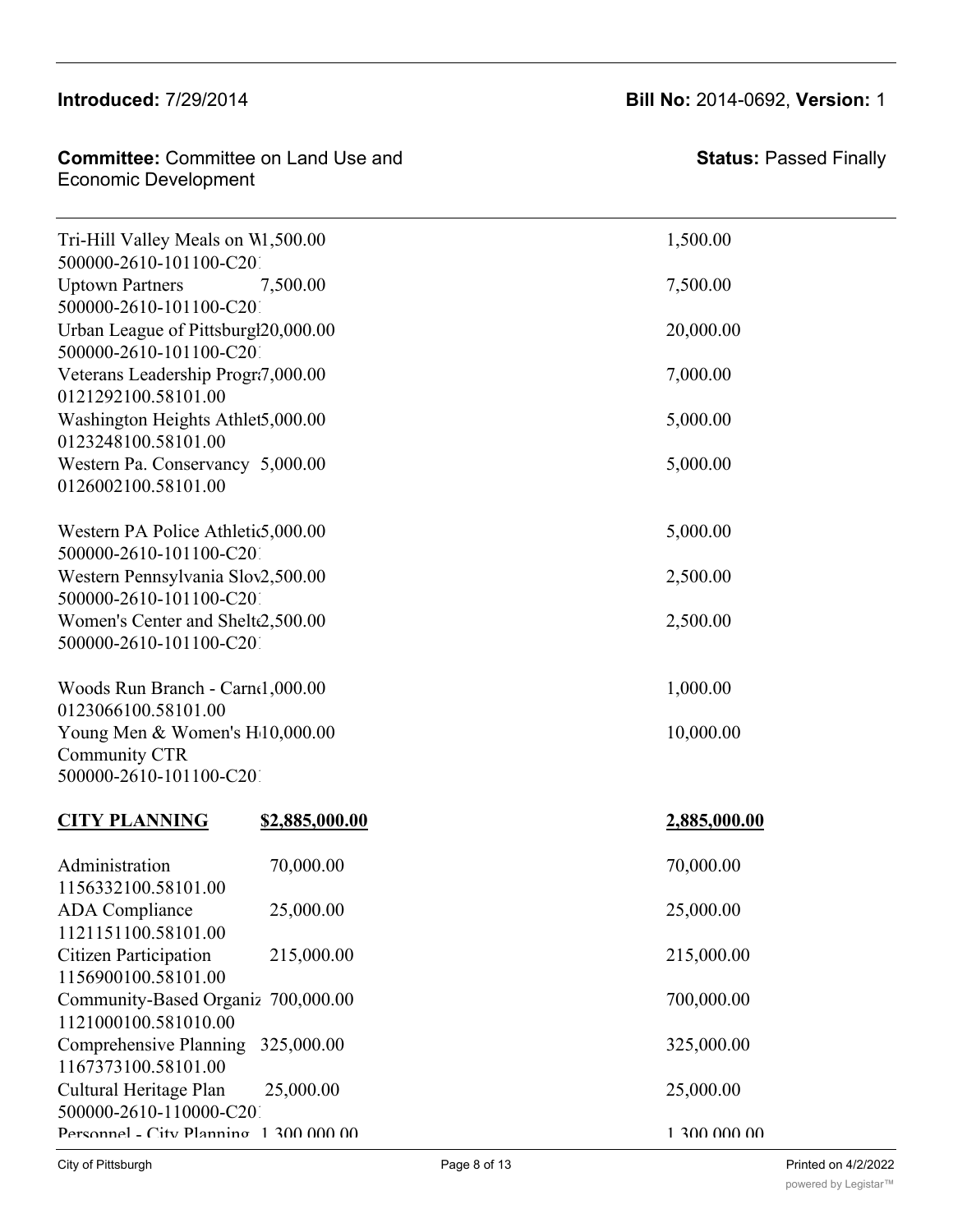#### 500000-2610-101100-C2010-G229982-2010  $\frac{1}{201}$ Strong Girls 6,500.000 6,500.000 6,500.000 6,500.000 6,500.000 6,500.000 6,500.000 6,500.000 6,500.000 6,500.000 6,500.000 6,500.000 6,500.000 6,500.000 6,500.000 6,500.000 6,500.000 6,500.000 6,500.000 6,500.0

#### **Committee:** Committee on Land Use and The Poise Foundation 75,000 Statu Economic Development Tree of Hop, Inc. 5,000.000 5,000.000 5,000.000 5,000.000 5,000.000 5,000.000 5,000.000 5,000.000 5,000.000 5,000.000

Steel City Boxing 3,000.00 3,000.00

 $\sim$  5000  $\sim$  5000  $\sim$  5000  $\sim$  5000  $\sim$  5000  $\sim$  5000  $\sim$  5000  $\sim$  5000  $\sim$  $Tri-Hill$  Valley Meals on  $W1,500.00$  1,500.00 500000-2610-101100-C201 Uptown Partners 7,500.00 7,500.00 7,500.00 0121 0123 0126

**Introduced:** 7/29/2014 **Bill No:** 2014-0692, **Version:** 1

| 1121000100.581010.00<br>Comprehensive Planning<br>325,000.00<br>1167373100.58101.00<br>Cultural Heritage Plan<br>25,000.00<br>500000-2610-110000-C201<br>Personnel - City Planning 1300 000 00 | 25,000.00<br>215,000.00<br>700,000.00<br>325,000.00<br>25,000.00<br>1,300,000,00 |
|------------------------------------------------------------------------------------------------------------------------------------------------------------------------------------------------|----------------------------------------------------------------------------------|
|                                                                                                                                                                                                |                                                                                  |
|                                                                                                                                                                                                |                                                                                  |
|                                                                                                                                                                                                |                                                                                  |
| Community-Based Organiz 700,000.00                                                                                                                                                             |                                                                                  |
| <b>Citizen Participation</b><br>215,000.00<br>1156900100.58101.00                                                                                                                              |                                                                                  |
| 1156332100.58101.00<br><b>ADA</b> Compliance<br>25,000.00<br>1121151100.58101.00                                                                                                               |                                                                                  |
| Administration<br>70,000.00                                                                                                                                                                    | 70,000.00                                                                        |
| <b>CITY PLANNING</b><br>\$2,885,000.00                                                                                                                                                         | 2,885,000.00                                                                     |
| 500000-2610-101100-C201                                                                                                                                                                        |                                                                                  |
| Young Men & Women's H10,000.00<br>Community CTR                                                                                                                                                | 10,000.00                                                                        |
| 0123066100.58101.00                                                                                                                                                                            |                                                                                  |
| Woods Run Branch - Carnel,000.00                                                                                                                                                               | 1,000.00                                                                         |
| 500000-2610-101100-C201                                                                                                                                                                        |                                                                                  |
| Women's Center and Shelte2,500.00                                                                                                                                                              | 2,500.00                                                                         |
| 500000-2610-101100-C201                                                                                                                                                                        |                                                                                  |
| 500000-2610-101100-C201<br>Western Pennsylvania Slov2,500.00                                                                                                                                   | 2,500.00                                                                         |
| Western PA Police Athletic5,000.00                                                                                                                                                             | 5,000.00                                                                         |
| 0126002100.58101.00                                                                                                                                                                            |                                                                                  |
| 0123248100.58101.00<br>Western Pa. Conservancy 5,000.00                                                                                                                                        | 5,000.00                                                                         |
| Washington Heights Athlet5,000.00                                                                                                                                                              | 5,000.00                                                                         |
| 0121292100.58101.00                                                                                                                                                                            |                                                                                  |
| Veterans Leadership Progr7,000.00                                                                                                                                                              | 7,000.00                                                                         |
| Urban League of Pittsburgl20,000.00<br>500000-2610-101100-C201                                                                                                                                 | 20,000.00                                                                        |
| 500000-2610-101100-C201                                                                                                                                                                        |                                                                                  |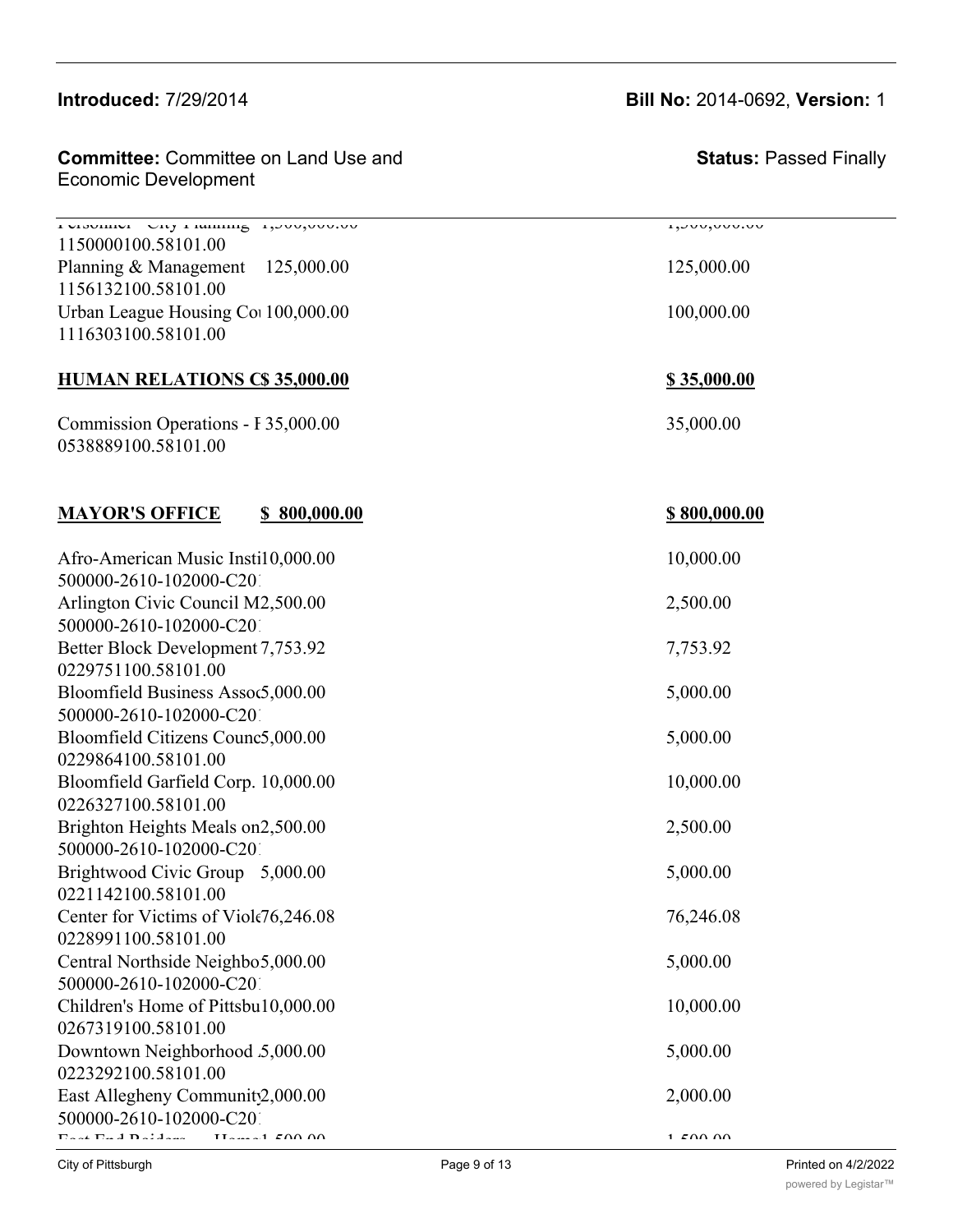#### $\frac{C_1}{\sqrt{C_2}}$  $n_{1}$ 11000000. $n_{2}$

1156900100.58101.00

Committee: Committee on Land Use and Economic Development and Heritage Plan 25,000.000 25,000.000 25,000.000 25,000.000 25,000.000 25,000.000 25,000

Personnel - City Planning 1,300,000.00 1,300,000.00  $1150000100.58101.00$ 1156 11163

| 1150000100.58101.00<br>Planning & Management 125,000.00<br>1156132100.58101.00<br>Urban League Housing Col 100,000.00<br>1116303100.58101.00 | 125,000.00<br>100,000.00 |
|----------------------------------------------------------------------------------------------------------------------------------------------|--------------------------|
| <b>HUMAN RELATIONS C\$ 35,000.00</b>                                                                                                         | <u>\$35,000.00</u>       |
| Commission Operations - F35,000.00<br>0538889100.58101.00                                                                                    | 35,000.00                |
| <b>MAYOR'S OFFICE</b><br>\$800,000.00                                                                                                        | <u>\$800,000.00</u>      |
| Afro-American Music Insti10,000.00                                                                                                           | 10,000.00                |
| 500000-2610-102000-C201                                                                                                                      |                          |
| Arlington Civic Council M2,500.00                                                                                                            | 2,500.00                 |
| 500000-2610-102000-C201<br>Better Block Development 7,753.92                                                                                 | 7,753.92                 |
| 0229751100.58101.00                                                                                                                          |                          |
| Bloomfield Business Assoc5,000.00                                                                                                            | 5,000.00                 |
| 500000-2610-102000-C201                                                                                                                      |                          |
| Bloomfield Citizens Counc5,000.00                                                                                                            | 5,000.00                 |
| 0229864100.58101.00                                                                                                                          |                          |
| Bloomfield Garfield Corp. 10,000.00                                                                                                          | 10,000.00                |
| 0226327100.58101.00                                                                                                                          |                          |
| Brighton Heights Meals on2,500.00                                                                                                            | 2,500.00                 |
| 500000-2610-102000-C201                                                                                                                      |                          |
| Brightwood Civic Group 5,000.00                                                                                                              | 5,000.00                 |
| 0221142100.58101.00                                                                                                                          |                          |
| Center for Victims of Viole76,246.08<br>0228991100.58101.00                                                                                  | 76,246.08                |
| Central Northside Neighbo5,000.00                                                                                                            | 5,000.00                 |
| 500000-2610-102000-C201                                                                                                                      |                          |
| Children's Home of Pittsbu10,000.00                                                                                                          | 10,000.00                |
| 0267319100.58101.00                                                                                                                          |                          |
| Downtown Neighborhood 5,000.00                                                                                                               | 5,000.00                 |
| 0223292100.58101.00                                                                                                                          |                          |
| East Allegheny Community2,000.00                                                                                                             | 2,000.00                 |
| 500000-2610-102000-C201                                                                                                                      |                          |
| المستلقاته فالمنافذ فللمسائل<br>$TT$ <sub>2</sub> $\sim$ 1 $FAN AN$                                                                          | 1.500M                   |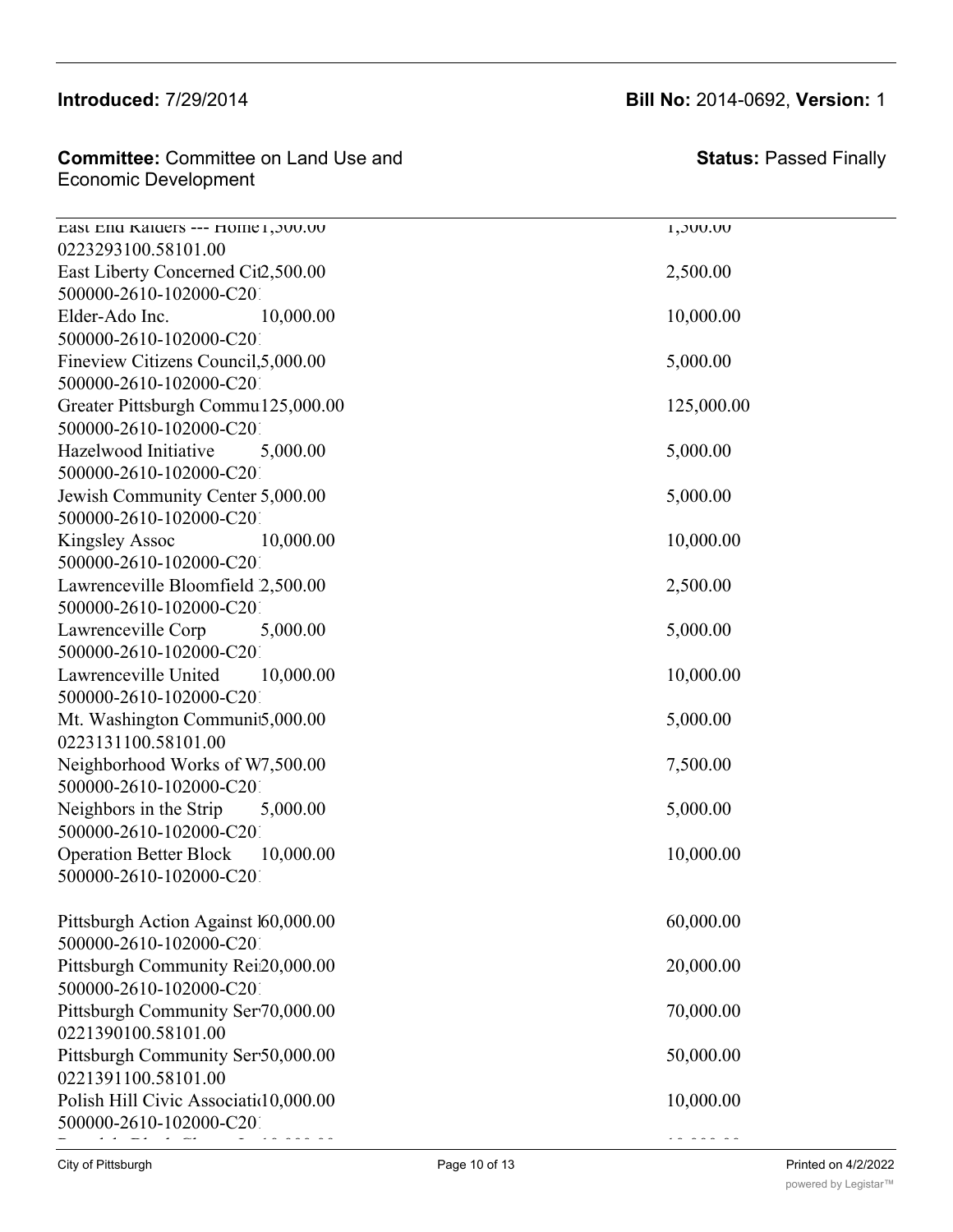#### Introduced: 7/29/2014 0267319100.58101.00

0223293100.58101.00

500000-2610-102000-C2010-G229760-2010

| <b>Committee:</b> Committee on Land Use and<br>Economic Development | Stat            |
|---------------------------------------------------------------------|-----------------|
| Last Lnd Kaiders --- Home L, JUU.UU                                 | <b>UU.UUC.1</b> |
| 0223293100.58101.00                                                 |                 |

**Status:** Passed Finally

| East Liberty Concerned Cit2,500.00    | 2,500.00   |
|---------------------------------------|------------|
| 500000-2610-102000-C201               |            |
| Elder-Ado Inc.<br>10,000.00           | 10,000.00  |
| 500000-2610-102000-C201               |            |
| Fineview Citizens Council, 5,000.00   | 5,000.00   |
| 500000-2610-102000-C201               |            |
| Greater Pittsburgh Commu125,000.00    | 125,000.00 |
| 500000-2610-102000-C201               |            |
| Hazelwood Initiative<br>5,000.00      | 5,000.00   |
| 500000-2610-102000-C201               |            |
| Jewish Community Center 5,000.00      | 5,000.00   |
| 500000-2610-102000-C201               |            |
| <b>Kingsley Assoc</b><br>10,000.00    | 10,000.00  |
| 500000-2610-102000-C201               |            |
| Lawrenceville Bloomfield 2,500.00     | 2,500.00   |
| 500000-2610-102000-C201               |            |
| Lawrenceville Corp<br>5,000.00        | 5,000.00   |
| 500000-2610-102000-C201               |            |
| 10,000.00<br>Lawrenceville United     | 10,000.00  |
| 500000-2610-102000-C201               |            |
| Mt. Washington Communit5,000.00       | 5,000.00   |
| 0223131100.58101.00                   |            |
| Neighborhood Works of W7,500.00       | 7,500.00   |
| 500000-2610-102000-C201               |            |
| Neighbors in the Strip<br>5,000.00    | 5,000.00   |
| 500000-2610-102000-C201               |            |
| Operation Better Block 10,000.00      | 10,000.00  |
| 500000-2610-102000-C201               |            |
|                                       |            |
| Pittsburgh Action Against 160,000.00  | 60,000.00  |
| 500000-2610-102000-C201               |            |
| Pittsburgh Community Rei20,000.00     | 20,000.00  |
| 500000-2610-102000-C201               |            |
| Pittsburgh Community Serv70,000.00    | 70,000.00  |
| 0221390100.58101.00                   |            |
| Pittsburgh Community Ser50,000.00     | 50,000.00  |
| 0221391100.58101.00                   |            |
| Polish Hill Civic Associatid 0,000.00 | 10,000.00  |
| 500000-2610-102000-C201               |            |
|                                       |            |

### **Introduced:** 7/29/2014 **Bill No:** 2014-0692, **Version:** 1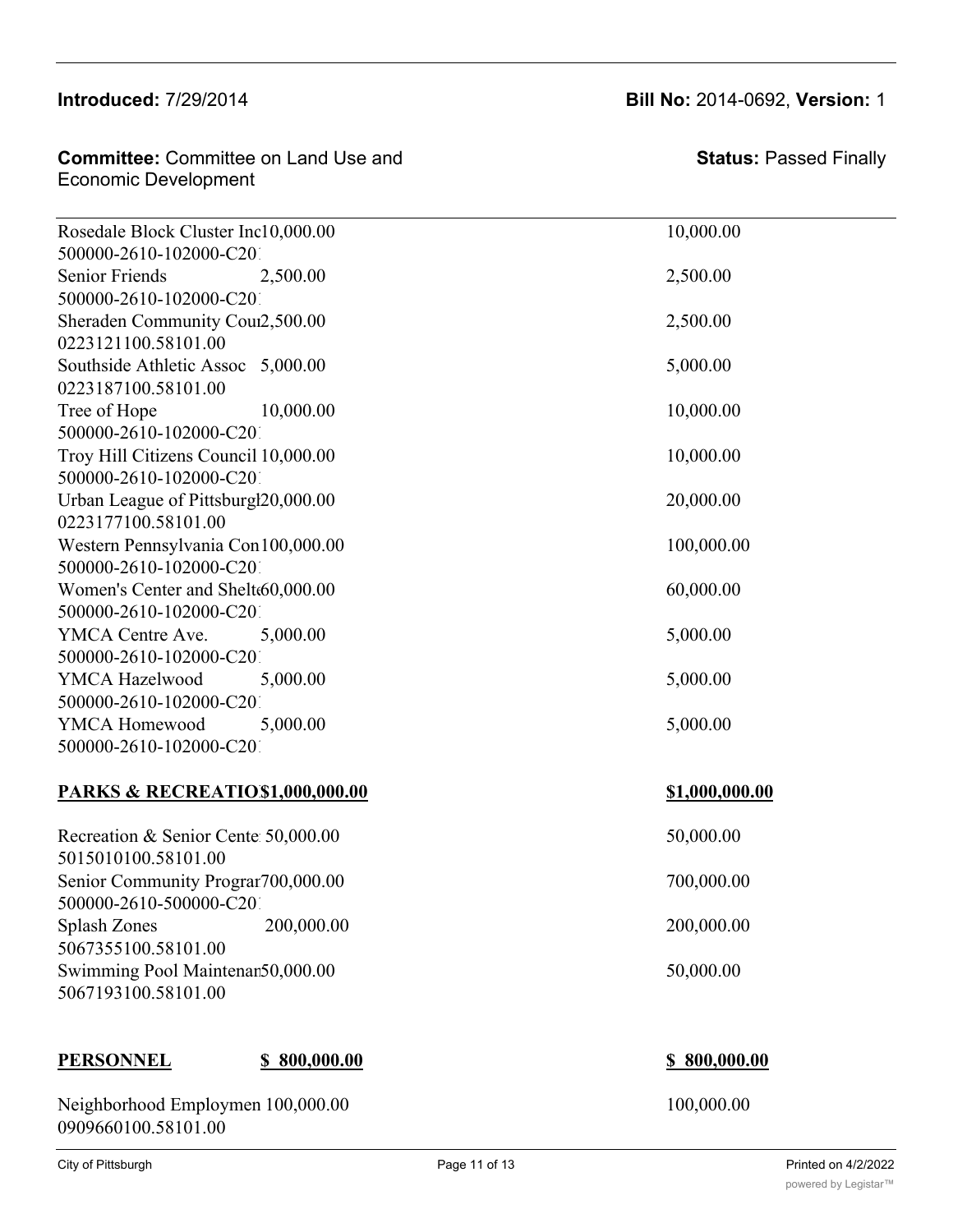**Committee:** Committee on Land Use and  $\epsilon$  Economic Development Pittsburgh Community Services - Safety 50,000.00 50,000.00

500000-2610-102000-C2010-G225010-2010 Rosedale Block Cluster Inc10,000.00 10,000.00 500000-2610-102000-C201 Senior Friends 2.500.00 2.500.00 2.500.00 500000-2610-102000-C201 Sheraden Community Council 2,500.00 2,500.00 0223121100.58101.00 Southside Athletic Assoc 5,000.00 5,000.00 5,000.00 0223187100.58101.00 Tree of Hope 10,000.00 10,000.00 500000-2610-102000-C201 Troy Hill Citizens Council 10,000.00 10,000 10,000.00 500000-2610-102000-C201 Urban League of Pittsburg $120,000.00$   $20,000.00$ 0223177100.58101.00 Western Pennsylvania Con 100,000.00 100,000 100,000.00 500000-2610-102000-C201 Women's Center and Shelter 60,000.00 60,000.00 60,000.00 500000-2610-102000-C201 YMCA Centre Ave. 5,000.00 5,000.00 5,000.00 500000-2610-102000-C201 YMCA Hazelwood  $5,000.00$  5,000.00 5,000.00 500000-2610-102000-C201 YMCA Homewood 5,000.00 5,000.00 5,000.00 500000-2610-102000-C201

#### **PARKS & RECREATIO\$1,000,000.00** \$1,000,000.00

Recreation & Senior Center  $50,000.00$  50,000.00 5015010100.58101.00 Senior Community Program 700,000.00 700,000.00 700,000.00 500000-2610-500000-C201 Splash Zones 200,000.00 200,000.00 200,000.00 5067355100.58101.00 Swimming Pool Maintenan50,000.00 50,000.00 5067193100.58101.00

#### **PERSONNEL \$ 800,000.00 \$ 800,000.00**

Neighborhood Employmen 100,000.00 100,000 100,000.00 0909660100.58101.00

| <sup>2</sup> age 11 of 13 |  |  |  |  |
|---------------------------|--|--|--|--|
|---------------------------|--|--|--|--|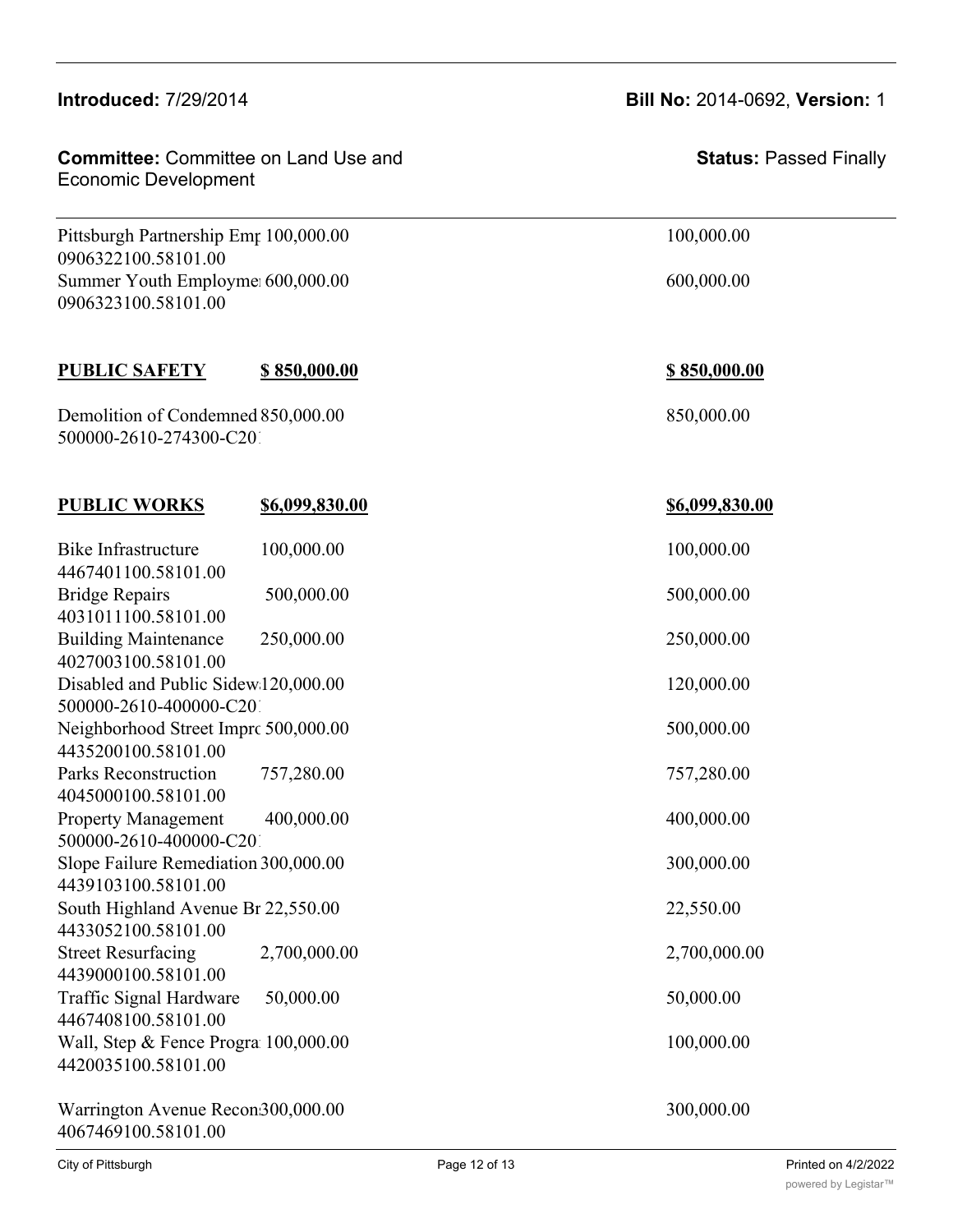## **Introduced:** 7/29/2014 **Bill No:** 2014-0692, **Version:** 1 **Committee:** Committee on Land Use and **BERSON BEAT STATES:** Status: I Economic Development **Status:** Passed Finally Next allows Extending Program 100,000 100,000 100,000 100,000 100,000 100,000 100,000 100,000 100,000 100,000 100,000 100,000 100,000 100,000 100,000 100,000 100,000 100,000 100,000 100,000 100,000 100,000 100,000 100,000 0909660100.58101.00 Pittsburgh Partnership Emp 100,000.00 100,000.00 100,000.00 0906322100.58101.00 Summer Youth Employment 600,000.00 600,000.00 600,000.00 0906323100.58101.00 **PUBLIC SAFETY \$ 850,000.00 \$ 850,000.00** Demolition of Condemned 850,000.00 850,000 850,000.00 500000-2610-274300-C201 **PUBLIC WORKS \$6,099,830.00 \$6,099,830.00** Bike Infrastructure 100,000,00 100,000 100,000,00 4467401100.58101.00 Bridge Repairs 500,000.00 500,000.00 500,000.00 4031011100.58101.00 Building Maintenance 250,000.00 250,000.00 4027003100.58101.00 Disabled and Public Sidew 120,000.00 120,000.00 120,000.00 500000-2610-400000-C201 Neighborhood Street Imprc 500,000.00 500,000.00 500,000.00 4435200100.58101.00 Parks Reconstruction 757,280.00 757,280.00 4045000100.58101.00 Property Management 400,000.00 400,000.00 500000-2610-400000-C201 Slope Failure Remediation 300,000.00 300,000 300,000.00 4439103100.58101.00 South Highland Avenue Br 22,550.00 22,550.00 4433052100.58101.00 Street Resurfacing 2,700,000.00 2,700,000.00 2,700,000.00 4439000100.58101.00 Traffic Signal Hardware 50,000.00 50,000.00 4467408100.58101.00 Wall, Step & Fence Program 100,000.00 100,000.00 4420035100.58101.00 Warrington Avenue Recon 300,000.00 300,000 300,000.00

Swimming Pool Maintenance 50,000.00 50,000.00

4067469100.58101.00